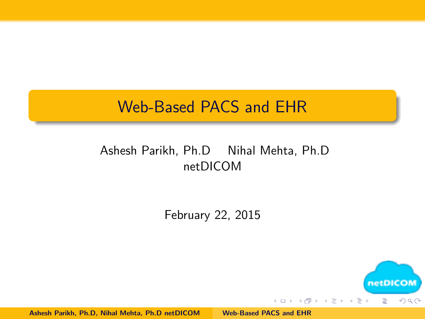#### <span id="page-0-0"></span>Web-Based PACS and EHR

#### Ashesh Parikh, Ph.D Nihal Mehta, Ph.D netDICOM

February 22, 2015



Ashesh Parikh, Ph.D, Nihal Mehta, Ph.D netDICOM [Web-Based PACS and EHR](#page-17-0)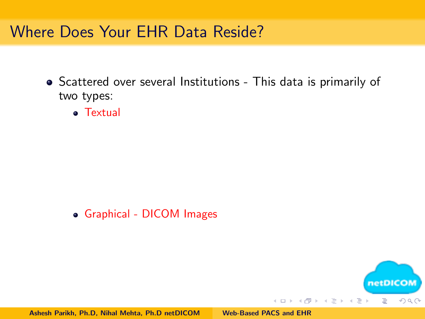#### Where Does Your EHR Data Reside?

- Scattered over several Institutions This data is primarily of two types:
	- **a** Textual

Graphical - DICOM Images

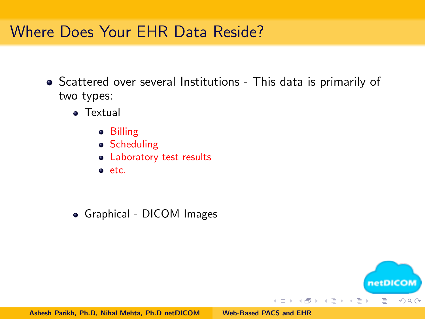## Where Does Your EHR Data Reside?

- Scattered over several Institutions This data is primarily of two types:
	- **•** Textual
		- **•** Billing
		- Scheduling
		- Laboratory test results
		- e etc.
	- Graphical DICOM Images

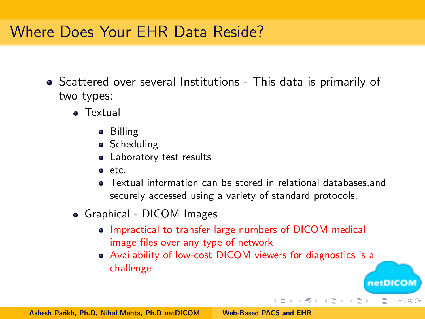## Where Does Your EHR Data Reside?

- Scattered over several Institutions This data is primarily of two types:
	- Textual
		- **•** Billing
		- Scheduling
		- Laboratory test results
		- etc.
		- Textual information can be stored in relational databases,and securely accessed using a variety of standard protocols.
	- Graphical DICOM Images
		- Impractical to transfer large numbers of DICOM medical image files over any type of network
		- Availability of low-cost DICOM viewers for diagnostics is a challenge.

netDICOM

 $\Omega$ 

E

イロン イ母ン イヨン イヨン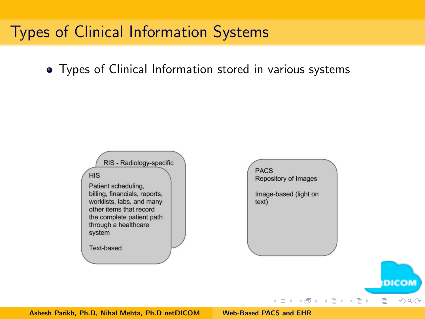## Types of Clinical Information Systems

Types of Clinical Information stored in various systems

RIS - Radiology-specific **PACS HIS** Repository of Images Patient scheduling, billing, financials, reports, Image-based (light on worklists, labs, and many  $text)$ other items that record the complete patient path through a healthcare system Text-based **DICOM** イロト イ母 ト イヨ ト イヨ ト  $\equiv$  $\Omega$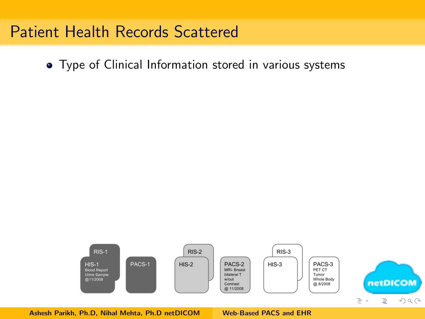#### Patient Health Records Scattered

Type of Clinical Information stored in various systems

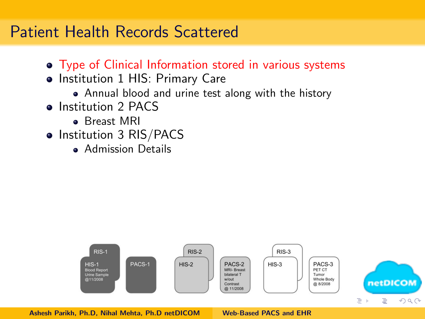#### Patient Health Records Scattered

- Type of Clinical Information stored in various systems
- Institution 1 HIS: Primary Care
	- Annual blood and urine test along with the history
- Institution 2 PACS
	- Breast MRI
- Institution 3 RIS/PACS
	- **Admission Details**

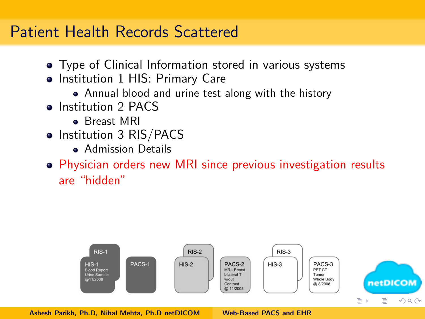#### Patient Health Records Scattered

- Type of Clinical Information stored in various systems
- Institution 1 HIS: Primary Care
	- Annual blood and urine test along with the history
- Institution 2 PACS
	- **Breast MRI**
- Institution 3 RIS/PACS
	- **Admission Details**
- Physician orders new MRI since previous investigation results are "hidden"

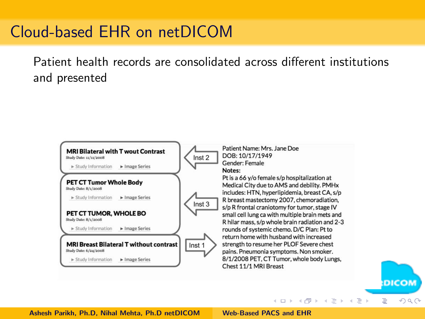## Cloud-based EHR on netDICOM

Patient health records are consolidated across different institutions and presented



イロト イ母 ト イヨ ト イヨ ト

E

 $\Omega$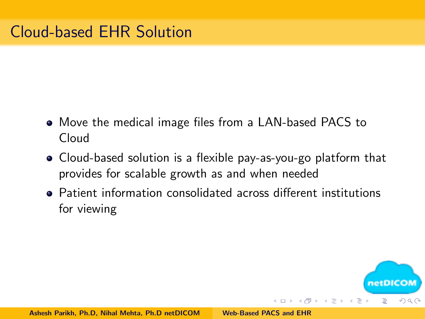- Move the medical image files from a LAN-based PACS to Cloud
- Cloud-based solution is a flexible pay-as-you-go platform that provides for scalable growth as and when needed
- Patient information consolidated across different institutions for viewing

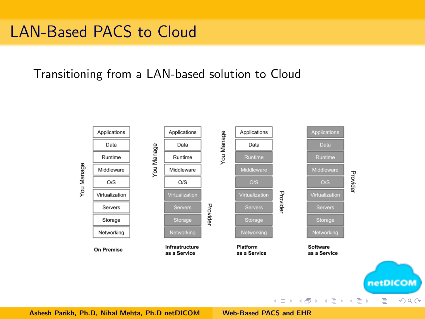## LAN-Based PACS to Cloud

Transitioning from a LAN-based solution to Cloud

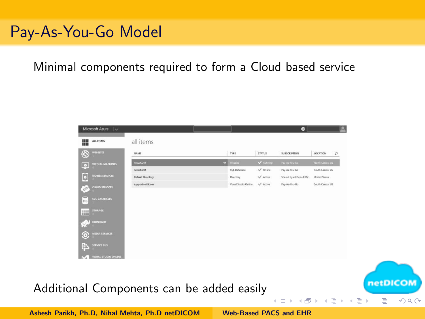## Pay-As-You-Go Model

#### Minimal components required to form a Cloud based service

| $^{\circledR}$<br><b>WEBSITES</b>      | NAME                     | TYPE                 | <b>STATUS</b>    | <b>SUBSCRIPTION</b>       | LOCATION<br>$\mu$ |
|----------------------------------------|--------------------------|----------------------|------------------|---------------------------|-------------------|
| <b>VIRTUAL MACHINES</b>                | netDXOM                  | Website<br>ы         | V funning        | Fay-As-You-Go             | North Central US  |
| Q                                      | retDXOM                  | SQL Database         | $\sqrt{}$ Ordere | Pay-As-You-Go             | South Central US  |
| <b>MOBILE SERVICES</b>                 | <b>Default Directory</b> | Directory            | $\sqrt{$ Attire  | Shared by all Default Dir | United States     |
| <b>CLOUD SERVICES</b><br>$\sqrt{2}$    | supportnetdicom          | Visual Studio Online | $\sqrt{}$ Active | Pay-As-You-Go             | South Central US  |
| <b>SOL DATABASES</b>                   |                          |                      |                  |                           |                   |
|                                        |                          |                      |                  |                           |                   |
| <b>STORAGE</b><br>IIII                 |                          |                      |                  |                           |                   |
| <b>IDIDISTICAT</b><br>C)               |                          |                      |                  |                           |                   |
| <b>MEDIA SERVICES</b>                  |                          |                      |                  |                           |                   |
| Þ<br><b>SERVICE BUS</b>                |                          |                      |                  |                           |                   |
| VISUAL STUDIO ONLINE<br>$\mathbb{R}^n$ |                          |                      |                  |                           |                   |

 $\leftarrow$   $\Box$ 

netDICO

E

 $OQ$ 

Additional Components can be added easily

Ashesh Parikh, Ph.D, Nihal Mehta, Ph.D netDICOM [Web-Based PACS and EHR](#page-0-0)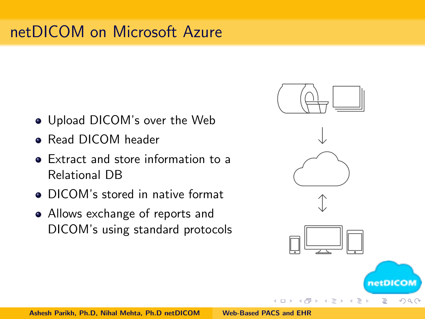# netDICOM on Microsoft Azure

- Upload DICOM's over the Web
- **Read DICOM header**
- Extract and store information to a Relational DB
- DICOM's stored in native format
- Allows exchange of reports and DICOM's using standard protocols

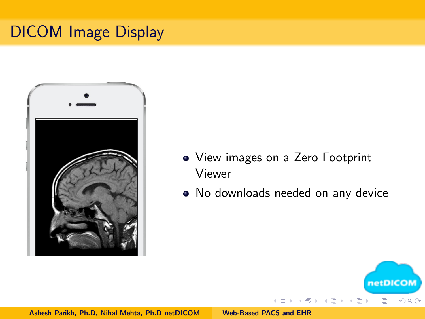# <span id="page-13-0"></span>DICOM Image Display



- View images on a Zero Footprint Viewer
- No downloads needed on any device

 $4.171 - 16$ 

 $\leftarrow$   $\equiv$ 

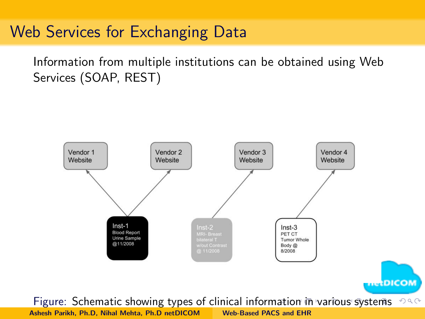#### <span id="page-14-0"></span>Web Services for Exchanging Data

Information from multiple institutions can be obtained using Web Services (SOAP, REST)

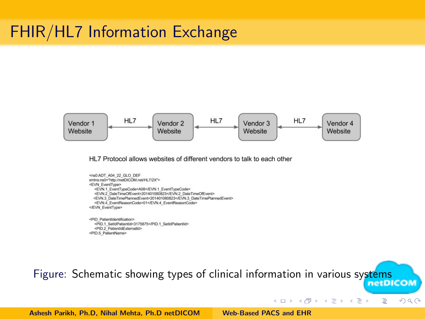#### <span id="page-15-0"></span>FHIR/HL7 Information Exchange



HL7 Protocol allows websites of different vendors to talk to each other

```
<ns0:ADT A04 22 GLO DEF
xmins:ns0="http://netDICOM.net/HL7/2X">
<EVN EventType>
  <EVN.1 EventTypeCode>A08</EVN.1 EventTypeCode>
  <EVN.2_DateTimeOfEvent>201401080823</EVN.2_DateTimeOfEvent>
  <EVN 3 DateTimePlannedEvent>201401080823</EVN 3 DateTimePlannedEvent>
  <FVN 4 EventReasonCode>01</FVN 4 EventReasonCode>
</EVN EventType>
<PID_PatientIdentification>
```
<PID.1 SetIdPatientId>3175875</PID.1 SetIdPatientId> <PID 2 PatientidExternalid> <PID.5 PatientName>

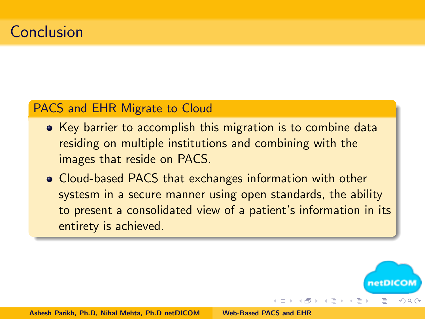#### PACS and EHR Migrate to Cloud

- Key barrier to accomplish this migration is to combine data residing on multiple institutions and combining with the images that reside on PACS.
- Cloud-based PACS that exchanges information with other systesm in a secure manner using open standards, the ability to present a consolidated view of a patient's information in its entirety is achieved.